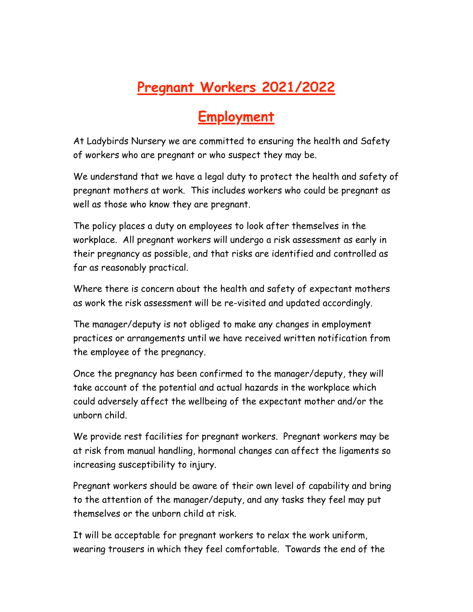## **Pregnant Workers 2021/2022**

## **Employment**

At Ladybirds Nursery we are committed to ensuring the health and Safety of workers who are pregnant or who suspect they may be.

We understand that we have a legal duty to protect the health and safety of pregnant mothers at work. This includes workers who could be pregnant as well as those who know they are pregnant.

The policy places a duty on employees to look after themselves in the workplace. All pregnant workers will undergo a risk assessment as early in their pregnancy as possible, and that risks are identified and controlled as far as reasonably practical.

Where there is concern about the health and safety of expectant mothers as work the risk assessment will be re-visited and updated accordingly.

The manager/deputy is not obliged to make any changes in employment practices or arrangements until we have received written notification from the employee of the pregnancy.

Once the pregnancy has been confirmed to the manager/deputy, they will take account of the potential and actual hazards in the workplace which could adversely affect the wellbeing of the expectant mother and/or the unborn child.

We provide rest facilities for pregnant workers. Pregnant workers may be at risk from manual handling, hormonal changes can affect the ligaments so increasing susceptibility to injury.

Pregnant workers should be aware of their own level of capability and bring to the attention of the manager/deputy, and any tasks they feel may put themselves or the unborn child at risk.

It will be acceptable for pregnant workers to relax the work uniform, wearing trousers in which they feel comfortable. Towards the end of the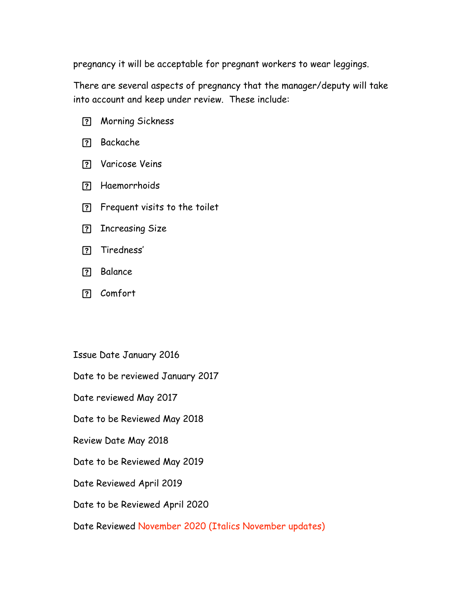pregnancy it will be acceptable for pregnant workers to wear leggings.

There are several aspects of pregnancy that the manager/deputy will take into account and keep under review. These include:

- Morning Sickness
- Backache
- Varicose Veins
- Haemorrhoids
- Frequent visits to the toilet
- **P** Increasing Size
- **P** Tiredness'
- **P** Balance
- Comfort

Issue Date January 2016

Date to be reviewed January 2017

Date reviewed May 2017

Date to be Reviewed May 2018

Review Date May 2018

Date to be Reviewed May 2019

Date Reviewed April 2019

Date to be Reviewed April 2020

Date Reviewed November 2020 (Italics November updates)